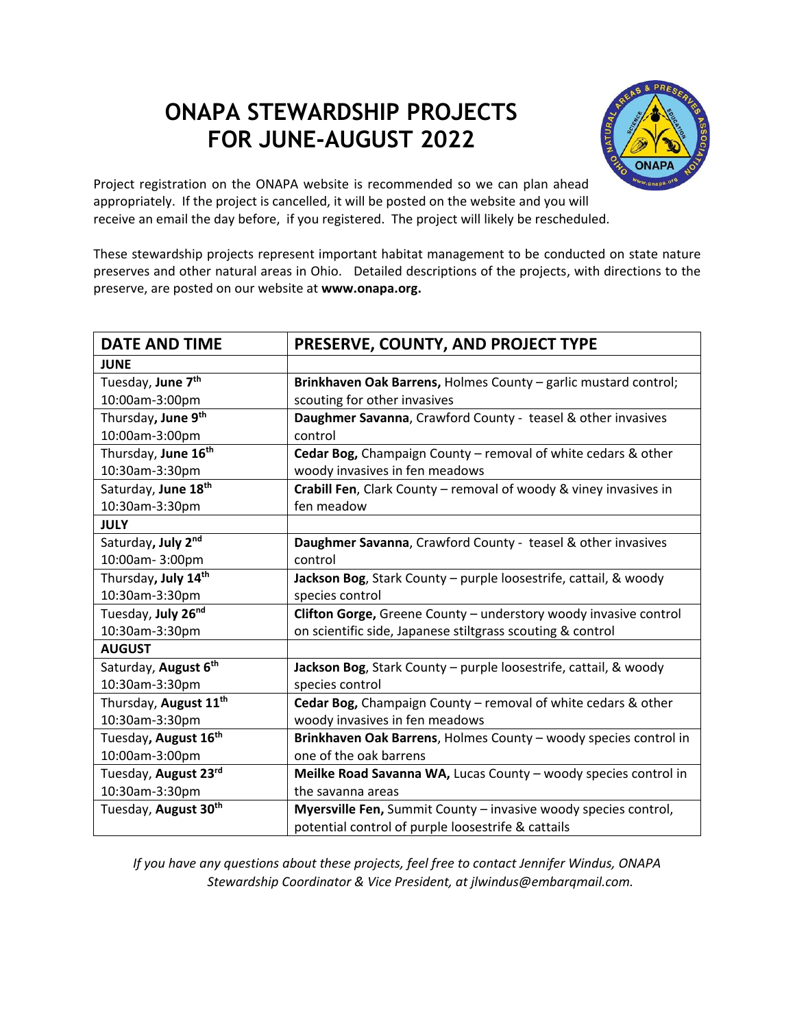## **ONAPA STEWARDSHIP PROJECTS FOR JUNE-AUGUST 2022**



Project registration on the ONAPA website is recommended so we can plan ahead appropriately. If the project is cancelled, it will be posted on the website and you will receive an email the day before, if you registered. The project will likely be rescheduled.

These stewardship projects represent important habitat management to be conducted on state nature preserves and other natural areas in Ohio. Detailed descriptions of the projects, with directions to the preserve, are posted on our website at **www.onapa.org.**

| <b>DATE AND TIME</b>              | PRESERVE, COUNTY, AND PROJECT TYPE                                |
|-----------------------------------|-------------------------------------------------------------------|
| <b>JUNE</b>                       |                                                                   |
| Tuesday, June 7 <sup>th</sup>     | Brinkhaven Oak Barrens, Holmes County - garlic mustard control;   |
| 10:00am-3:00pm                    | scouting for other invasives                                      |
| Thursday, June 9 <sup>th</sup>    | Daughmer Savanna, Crawford County - teasel & other invasives      |
| 10:00am-3:00pm                    | control                                                           |
| Thursday, June 16 <sup>th</sup>   | Cedar Bog, Champaign County - removal of white cedars & other     |
| 10:30am-3:30pm                    | woody invasives in fen meadows                                    |
| Saturday, June 18 <sup>th</sup>   | Crabill Fen, Clark County - removal of woody & viney invasives in |
| 10:30am-3:30pm                    | fen meadow                                                        |
| <b>JULY</b>                       |                                                                   |
| Saturday, July 2nd                | Daughmer Savanna, Crawford County - teasel & other invasives      |
| 10:00am-3:00pm                    | control                                                           |
| Thursday, July 14th               | Jackson Bog, Stark County - purple loosestrife, cattail, & woody  |
| 10:30am-3:30pm                    | species control                                                   |
| Tuesday, July 26 <sup>nd</sup>    | Clifton Gorge, Greene County - understory woody invasive control  |
| 10:30am-3:30pm                    | on scientific side, Japanese stiltgrass scouting & control        |
| <b>AUGUST</b>                     |                                                                   |
| Saturday, August 6th              | Jackson Bog, Stark County - purple loosestrife, cattail, & woody  |
| 10:30am-3:30pm                    | species control                                                   |
| Thursday, August 11 <sup>th</sup> | Cedar Bog, Champaign County - removal of white cedars & other     |
| 10:30am-3:30pm                    | woody invasives in fen meadows                                    |
| Tuesday, August 16 <sup>th</sup>  | Brinkhaven Oak Barrens, Holmes County - woody species control in  |
| 10:00am-3:00pm                    | one of the oak barrens                                            |
| Tuesday, August 23rd              | Meilke Road Savanna WA, Lucas County - woody species control in   |
| 10:30am-3:30pm                    | the savanna areas                                                 |
| Tuesday, August 30 <sup>th</sup>  | Myersville Fen, Summit County - invasive woody species control,   |
|                                   | potential control of purple loosestrife & cattails                |

*If you have any questions about these projects, feel free to contact Jennifer Windus, ONAPA Stewardship Coordinator & Vice President, at jlwindus@embarqmail.com.*